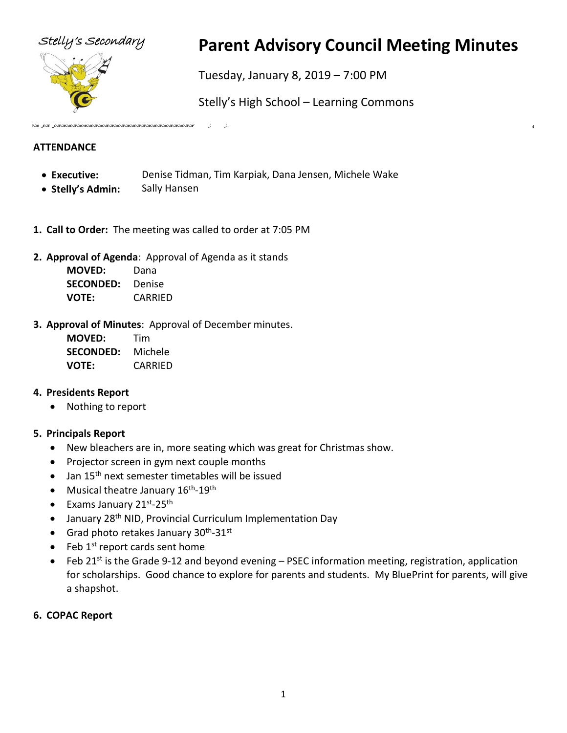



# Stelly's Secondary **Parent Advisory Council Meeting Minutes**

Tuesday, January 8, 2019 – 7:00 PM

Stelly's High School – Learning Commons

ž,

## **ATTENDANCE**

- **Executive:** Denise Tidman, Tim Karpiak, Dana Jensen, Michele Wake
- **Stelly's Admin:** Sally Hansen
- **1. Call to Order:** The meeting was called to order at 7:05 PM
- **2. Approval of Agenda**: Approval of Agenda as it stands

| <b>MOVED:</b>    | Dana    |
|------------------|---------|
| <b>SECONDED:</b> | Denise  |
| VOTE:            | CARRIED |

**3. Approval of Minutes**: Approval of December minutes.

| <b>MOVED:</b>    | Tim     |
|------------------|---------|
| <b>SECONDED:</b> | Michele |
| <b>VOTE:</b>     | CARRIED |

#### **4. Presidents Report**

• Nothing to report

#### **5. Principals Report**

- New bleachers are in, more seating which was great for Christmas show.
- Projector screen in gym next couple months
- Jan 15<sup>th</sup> next semester timetables will be issued
- Musical theatre January 16<sup>th</sup>-19<sup>th</sup>
- Exams January 21st-25th
- January 28<sup>th</sup> NID, Provincial Curriculum Implementation Day
- Grad photo retakes January 30<sup>th</sup>-31<sup>st</sup>
- $\bullet$  Feb 1<sup>st</sup> report cards sent home
- Feb 21st is the Grade 9-12 and beyond evening  $-$  PSEC information meeting, registration, application for scholarships. Good chance to explore for parents and students. My BluePrint for parents, will give a shapshot.

#### **6. COPAC Report**